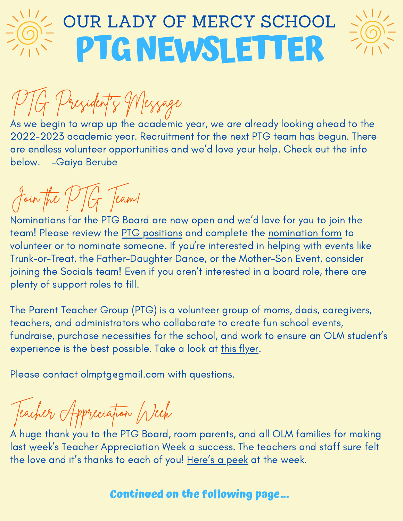

## **PTGNEWSLETTER** OUR LADY OF MERCY SCHOOL



PTG President's Message

As we begin to wrap up the academic year, we are already looking ahead to the 2022-2023 academic year. Recruitment for the next PTG team has begun. There are endless volunteer opportunities and we'd love your help. Check out the info below. –Gaiya Berube

# Join the PTG Team!

Nominations for the PTG Board are now open and we'd love for you to join the team! Please review the PTG [positions](https://drive.google.com/file/d/1uqavaPIThdaWefyt_MoIL-MRlLyaDdUm/view?usp=sharing) and complete the [nomination](https://forms.gle/o7CZ7vqTvA6E65Ne7) form to volunteer or to nominate someone. If you're interested in helping with events like Trunk-or-Treat, the Father-Daughter Dance, or the Mother-Son Event, consider joining the Socials team! Even if you aren't interested in a board role, there are plenty of support roles to fill.

The Parent Teacher Group (PTG) is a volunteer group of moms, dads, caregivers, teachers, and administrators who collaborate to create fun school events, fundraise, purchase necessities for the school, and work to ensure an OLM student's experience is the best possible. Take a look at this [flyer.](https://drive.google.com/file/d/1xosDe-vBesioP8ECTUc6G0IaZYc3D3o6/view?usp=sharing)

Please contact olmptg@gmail.com with questions.

Teacher Appreciation Week

A huge thank you to the PTG Board, room parents, and all OLM families for making last week's Teacher Appreciation Week a success. The teachers and staff sure felt the love and it's thanks to each of you! [Here's](https://photos.app.goo.gl/CxHFS7erR63gCXch6) a peek at the week.

### **Continued on the following page...**